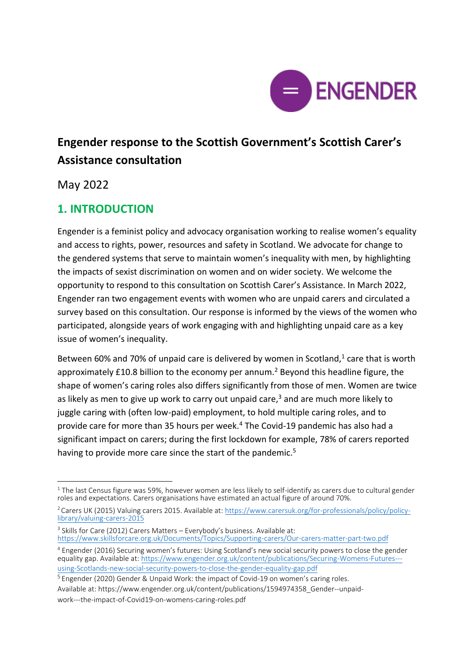

# **Engender response to the Scottish Government's Scottish Carer's Assistance consultation**

May 2022

# **1. INTRODUCTION**

Engender is a feminist policy and advocacy organisation working to realise women's equality and access to rights, power, resources and safety in Scotland. We advocate for change to the gendered systems that serve to maintain women's inequality with men, by highlighting the impacts of sexist discrimination on women and on wider society. We welcome the opportunity to respond to this consultation on Scottish Carer's Assistance. In March 2022, Engender ran two engagement events with women who are unpaid carers and circulated a survey based on this consultation. Our response is informed by the views of the women who participated, alongside years of work engaging with and highlighting unpaid care as a key issue of women's inequality.

Between 60% and 70% of unpaid care is delivered by women in Scotland, $1$  care that is worth approximately £10.8 billion to the economy per annum.<sup>2</sup> Beyond this headline figure, the shape of women's caring roles also differs significantly from those of men. Women are twice as likely as men to give up work to carry out unpaid care, $3$  and are much more likely to juggle caring with (often low-paid) employment, to hold multiple caring roles, and to provide care for more than 35 hours per week.<sup>4</sup> The Covid-19 pandemic has also had a significant impact on carers; during the first lockdown for example, 78% of carers reported having to provide more care since the start of the pandemic.<sup>5</sup>

 $1$  The last Census figure was 59%, however women are less likely to self-identify as carers due to cultural gender roles and expectations. Carers organisations have estimated an actual figure of around 70%.

<sup>&</sup>lt;sup>2</sup> Carers UK (2015) Valuing carers 2015. Available at: [https://www.carersuk.org/for-professionals/policy/policy](https://www.carersuk.org/for-professionals/policy/policy-library/valuing-carers-2015)[library/valuing-carers-2015](https://www.carersuk.org/for-professionals/policy/policy-library/valuing-carers-2015)

<sup>&</sup>lt;sup>3</sup> Skills for Care (2012) Carers Matters - Everybody's business. Available at: <https://www.skillsforcare.org.uk/Documents/Topics/Supporting-carers/Our-carers-matter-part-two.pdf>

<sup>4</sup> Engender (2016) Securing women's futures: Using Scotland's new social security powers to close the gender equality gap. Available at: [https://www.engender.org.uk/content/publications/Securing-Womens-Futures--](https://www.engender.org.uk/content/publications/Securing-Womens-Futures---using-Scotlands-new-social-security-powers-to-close-the-gender-equality-gap.pdf) [using-Scotlands-new-social-security-powers-to-close-the-gender-equality-gap.pdf](https://www.engender.org.uk/content/publications/Securing-Womens-Futures---using-Scotlands-new-social-security-powers-to-close-the-gender-equality-gap.pdf) 

<sup>5</sup> Engender (2020) Gender & Unpaid Work: the impact of Covid-19 on women's caring roles.

Available at: https://www.engender.org.uk/content/publications/1594974358\_Gender--unpaidwork---the-impact-of-Covid19-on-womens-caring-roles.pdf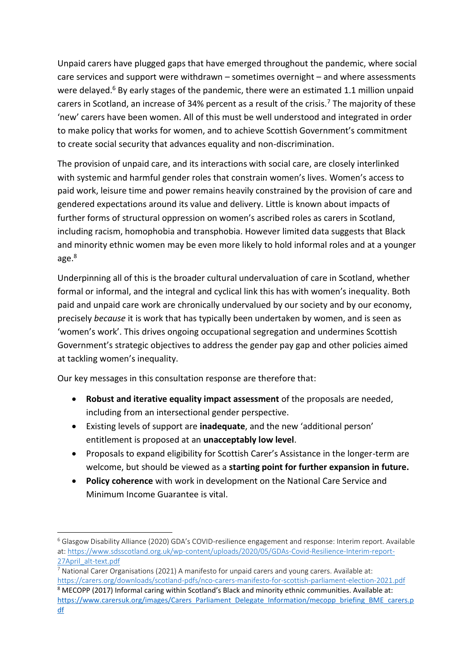Unpaid carers have plugged gaps that have emerged throughout the pandemic, where social care services and support were withdrawn – sometimes overnight – and where assessments were delayed.<sup>6</sup> By early stages of the pandemic, there were an estimated 1.1 million unpaid carers in Scotland, an increase of 34% percent as a result of the crisis.<sup>7</sup> The majority of these 'new' carers have been women. All of this must be well understood and integrated in order to make policy that works for women, and to achieve Scottish Government's commitment to create social security that advances equality and non-discrimination.

The provision of unpaid care, and its interactions with social care, are closely interlinked with systemic and harmful gender roles that constrain women's lives. Women's access to paid work, leisure time and power remains heavily constrained by the provision of care and gendered expectations around its value and delivery. Little is known about impacts of further forms of structural oppression on women's ascribed roles as carers in Scotland, including racism, homophobia and transphobia. However limited data suggests that Black and minority ethnic women may be even more likely to hold informal roles and at a younger age.<sup>8</sup>

Underpinning all of this is the broader cultural undervaluation of care in Scotland, whether formal or informal, and the integral and cyclical link this has with women's inequality. Both paid and unpaid care work are chronically undervalued by our society and by our economy, precisely *because* it is work that has typically been undertaken by women, and is seen as 'women's work'. This drives ongoing occupational segregation and undermines Scottish Government's strategic objectives to address the gender pay gap and other policies aimed at tackling women's inequality.

Our key messages in this consultation response are therefore that:

- **Robust and iterative equality impact assessment** of the proposals are needed, including from an intersectional gender perspective.
- Existing levels of support are **inadequate**, and the new 'additional person' entitlement is proposed at an **unacceptably low level**.
- Proposals to expand eligibility for Scottish Carer's Assistance in the longer-term are welcome, but should be viewed as a **starting point for further expansion in future.**
- **Policy coherence** with work in development on the National Care Service and Minimum Income Guarantee is vital.

<sup>6</sup> Glasgow Disability Alliance (2020) GDA's COVID-resilience engagement and response: Interim report. Available at: [https://www.sdsscotland.org.uk/wp-content/uploads/2020/05/GDAs-Covid-Resilience-Interim-report-](https://www.sdsscotland.org.uk/wp-content/uploads/2020/05/GDAs-Covid-Resilience-Interim-report-27April_alt-text.pdf)[27April\\_alt-text.pdf](https://www.sdsscotland.org.uk/wp-content/uploads/2020/05/GDAs-Covid-Resilience-Interim-report-27April_alt-text.pdf)

<sup>7</sup> National Carer Organisations (2021) A manifesto for unpaid carers and young carers. Available at: <https://carers.org/downloads/scotland-pdfs/nco-carers-manifesto-for-scottish-parliament-election-2021.pdf> <sup>8</sup> MECOPP (2017) Informal caring within Scotland's Black and minority ethnic communities. Available at: [https://www.carersuk.org/images/Carers\\_Parliament\\_Delegate\\_Information/mecopp\\_briefing\\_BME\\_carers.p](https://www.carersuk.org/images/Carers_Parliament_Delegate_Information/mecopp_briefing_BME_carers.pdf) [df](https://www.carersuk.org/images/Carers_Parliament_Delegate_Information/mecopp_briefing_BME_carers.pdf)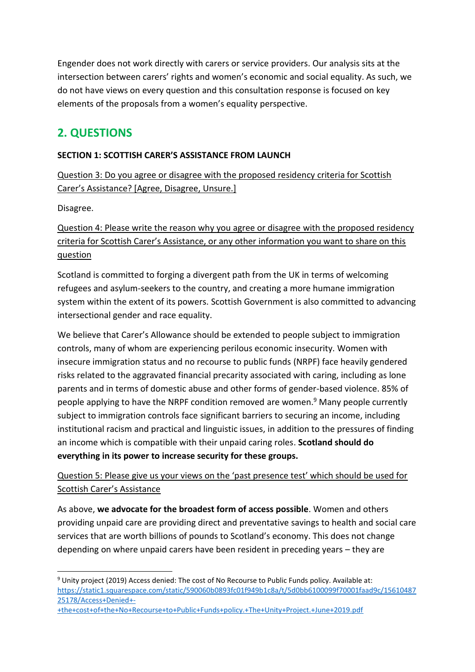Engender does not work directly with carers or service providers. Our analysis sits at the intersection between carers' rights and women's economic and social equality. As such, we do not have views on every question and this consultation response is focused on key elements of the proposals from a women's equality perspective.

# **2. QUESTIONS**

### **SECTION 1: SCOTTISH CARER'S ASSISTANCE FROM LAUNCH**

Question 3: Do you agree or disagree with the proposed residency criteria for Scottish Carer's Assistance? [Agree, Disagree, Unsure.]

Disagree.

### Question 4: Please write the reason why you agree or disagree with the proposed residency criteria for Scottish Carer's Assistance, or any other information you want to share on this question

Scotland is committed to forging a divergent path from the UK in terms of welcoming refugees and asylum-seekers to the country, and creating a more humane immigration system within the extent of its powers. Scottish Government is also committed to advancing intersectional gender and race equality.

We believe that Carer's Allowance should be extended to people subject to immigration controls, many of whom are experiencing perilous economic insecurity. Women with insecure immigration status and no recourse to public funds (NRPF) face heavily gendered risks related to the aggravated financial precarity associated with caring, including as lone parents and in terms of domestic abuse and other forms of gender-based violence. 85% of people applying to have the NRPF condition removed are women. <sup>9</sup> Many people currently subject to immigration controls face significant barriers to securing an income, including institutional racism and practical and linguistic issues, in addition to the pressures of finding an income which is compatible with their unpaid caring roles. **Scotland should do everything in its power to increase security for these groups.**

### Question 5: Please give us your views on the 'past presence test' which should be used for Scottish Carer's Assistance

As above, **we advocate for the broadest form of access possible**. Women and others providing unpaid care are providing direct and preventative savings to health and social care services that are worth billions of pounds to Scotland's economy. This does not change depending on where unpaid carers have been resident in preceding years – they are

<sup>9</sup> Unity project (2019) Access denied: The cost of No Recourse to Public Funds policy. Available at: [https://static1.squarespace.com/static/590060b0893fc01f949b1c8a/t/5d0bb6100099f70001faad9c/15610487](https://static1.squarespace.com/static/590060b0893fc01f949b1c8a/t/5d0bb6100099f70001faad9c/1561048725178/Access+Denied+-+the+cost+of+the+No+Recourse+to+Public+Funds+policy.+The+Unity+Project.+June+2019.pdf) [25178/Access+Denied+-](https://static1.squarespace.com/static/590060b0893fc01f949b1c8a/t/5d0bb6100099f70001faad9c/1561048725178/Access+Denied+-+the+cost+of+the+No+Recourse+to+Public+Funds+policy.+The+Unity+Project.+June+2019.pdf)

[<sup>+</sup>the+cost+of+the+No+Recourse+to+Public+Funds+policy.+The+Unity+Project.+June+2019.pdf](https://static1.squarespace.com/static/590060b0893fc01f949b1c8a/t/5d0bb6100099f70001faad9c/1561048725178/Access+Denied+-+the+cost+of+the+No+Recourse+to+Public+Funds+policy.+The+Unity+Project.+June+2019.pdf)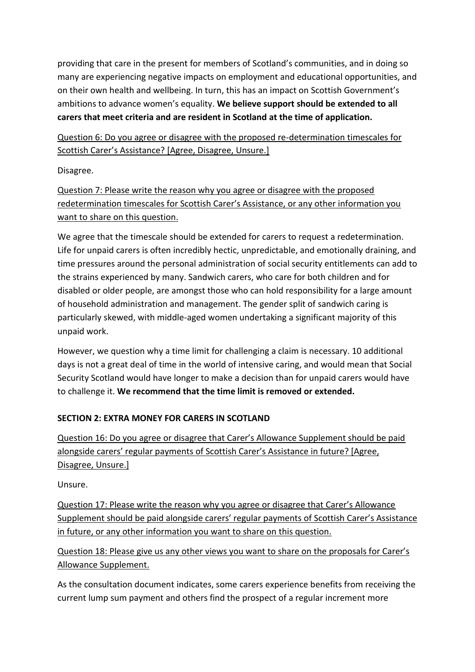providing that care in the present for members of Scotland's communities, and in doing so many are experiencing negative impacts on employment and educational opportunities, and on their own health and wellbeing. In turn, this has an impact on Scottish Government's ambitions to advance women's equality. **We believe support should be extended to all carers that meet criteria and are resident in Scotland at the time of application.**

Question 6: Do you agree or disagree with the proposed re-determination timescales for Scottish Carer's Assistance? [Agree, Disagree, Unsure.]

Disagree.

Question 7: Please write the reason why you agree or disagree with the proposed redetermination timescales for Scottish Carer's Assistance, or any other information you want to share on this question.

We agree that the timescale should be extended for carers to request a redetermination. Life for unpaid carers is often incredibly hectic, unpredictable, and emotionally draining, and time pressures around the personal administration of social security entitlements can add to the strains experienced by many. Sandwich carers, who care for both children and for disabled or older people, are amongst those who can hold responsibility for a large amount of household administration and management. The gender split of sandwich caring is particularly skewed, with middle-aged women undertaking a significant majority of this unpaid work.

However, we question why a time limit for challenging a claim is necessary. 10 additional days is not a great deal of time in the world of intensive caring, and would mean that Social Security Scotland would have longer to make a decision than for unpaid carers would have to challenge it. **We recommend that the time limit is removed or extended.**

### **SECTION 2: EXTRA MONEY FOR CARERS IN SCOTLAND**

Question 16: Do you agree or disagree that Carer's Allowance Supplement should be paid alongside carers' regular payments of Scottish Carer's Assistance in future? [Agree, Disagree, Unsure.]

Unsure.

Question 17: Please write the reason why you agree or disagree that Carer's Allowance Supplement should be paid alongside carers' regular payments of Scottish Carer's Assistance in future, or any other information you want to share on this question.

Question 18: Please give us any other views you want to share on the proposals for Carer's Allowance Supplement.

As the consultation document indicates, some carers experience benefits from receiving the current lump sum payment and others find the prospect of a regular increment more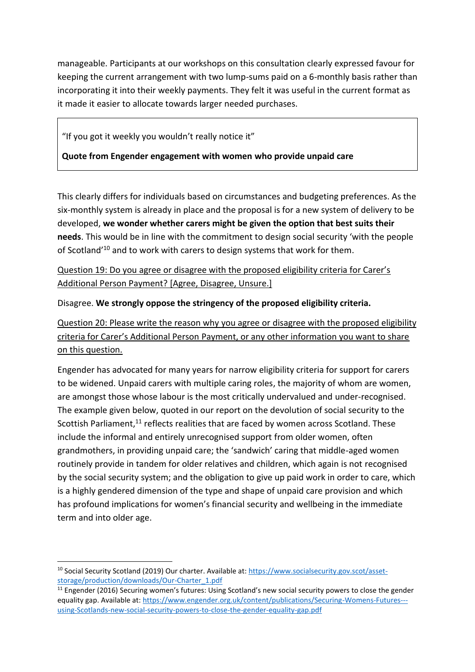manageable. Participants at our workshops on this consultation clearly expressed favour for keeping the current arrangement with two lump-sums paid on a 6-monthly basis rather than incorporating it into their weekly payments. They felt it was useful in the current format as it made it easier to allocate towards larger needed purchases.

"If you got it weekly you wouldn't really notice it"

**Quote from Engender engagement with women who provide unpaid care**

This clearly differs for individuals based on circumstances and budgeting preferences. As the six-monthly system is already in place and the proposal is for a new system of delivery to be developed, **we wonder whether carers might be given the option that best suits their needs**. This would be in line with the commitment to design social security 'with the people of Scotland'<sup>10</sup> and to work with carers to design systems that work for them.

Question 19: Do you agree or disagree with the proposed eligibility criteria for Carer's Additional Person Payment? [Agree, Disagree, Unsure.]

Disagree. **We strongly oppose the stringency of the proposed eligibility criteria.**

Question 20: Please write the reason why you agree or disagree with the proposed eligibility criteria for Carer's Additional Person Payment, or any other information you want to share on this question.

Engender has advocated for many years for narrow eligibility criteria for support for carers to be widened. Unpaid carers with multiple caring roles, the majority of whom are women, are amongst those whose labour is the most critically undervalued and under-recognised. The example given below, quoted in our report on the devolution of social security to the Scottish Parliament,<sup>11</sup> reflects realities that are faced by women across Scotland. These include the informal and entirely unrecognised support from older women, often grandmothers, in providing unpaid care; the 'sandwich' caring that middle-aged women routinely provide in tandem for older relatives and children, which again is not recognised by the social security system; and the obligation to give up paid work in order to care, which is a highly gendered dimension of the type and shape of unpaid care provision and which has profound implications for women's financial security and wellbeing in the immediate term and into older age.

<sup>&</sup>lt;sup>10</sup> Social Security Scotland (2019) Our charter. Available at: [https://www.socialsecurity.gov.scot/asset](https://www.socialsecurity.gov.scot/asset-storage/production/downloads/Our-Charter_1.pdf)[storage/production/downloads/Our-Charter\\_1.pdf](https://www.socialsecurity.gov.scot/asset-storage/production/downloads/Our-Charter_1.pdf)

<sup>&</sup>lt;sup>11</sup> Engender (2016) Securing women's futures: Using Scotland's new social security powers to close the gender equality gap. Available at: [https://www.engender.org.uk/content/publications/Securing-Womens-Futures--](https://www.engender.org.uk/content/publications/Securing-Womens-Futures---using-Scotlands-new-social-security-powers-to-close-the-gender-equality-gap.pdf) [using-Scotlands-new-social-security-powers-to-close-the-gender-equality-gap.pdf](https://www.engender.org.uk/content/publications/Securing-Womens-Futures---using-Scotlands-new-social-security-powers-to-close-the-gender-equality-gap.pdf)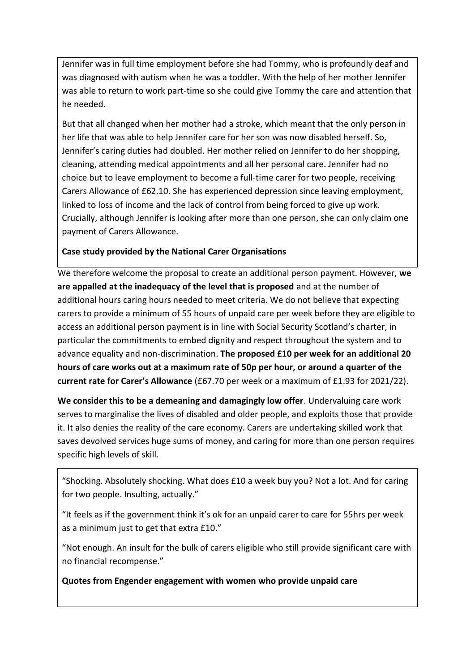Jennifer was in full time employment before she had Tommy, who is profoundly deaf and was diagnosed with autism when he was a toddler. With the help of her mother Jennifer was able to return to work part-time so she could give Tommy the care and attention that he needed.

But that all changed when her mother had a stroke, which meant that the only person in her life that was able to help Jennifer care for her son was now disabled herself. So, Jennifer's caring duties had doubled. Her mother relied on Jennifer to do her shopping, cleaning, attending medical appointments and all her personal care. Jennifer had no choice but to leave employment to become a full-time carer for two people, receiving Carers Allowance of £62.10. She has experienced depression since leaving employment, linked to loss of income and the lack of control from being forced to give up work. Crucially, although Jennifer is looking after more than one person, she can only claim one payment of Carers Allowance.

### **Case study provided by the National Carer Organisations**

We therefore welcome the proposal to create an additional person payment. However, **we are appalled at the inadequacy of the level that is proposed** and at the number of additional hours caring hours needed to meet criteria. We do not believe that expecting carers to provide a minimum of 55 hours of unpaid care per week before they are eligible to access an additional person payment is in line with Social Security Scotland's charter, in particular the commitments to embed dignity and respect throughout the system and to advance equality and non-discrimination. **The proposed £10 per week for an additional 20 hours of care works out at a maximum rate of 50p per hour, or around a quarter of the current rate for Carer's Allowance** (£67.70 per week or a maximum of £1.93 for 2021/22).

**We consider this to be a demeaning and damagingly low offer**. Undervaluing care work serves to marginalise the lives of disabled and older people, and exploits those that provide it. It also denies the reality of the care economy. Carers are undertaking skilled work that saves devolved services huge sums of money, and caring for more than one person requires specific high levels of skill.

"Shocking. Absolutely shocking. What does £10 a week buy you? Not a lot. And for caring for two people. Insulting, actually."

"It feels as if the government think it's ok for an unpaid carer to care for 55hrs per week as a minimum just to get that extra £10."

"Not enough. An insult for the bulk of carers eligible who still provide significant care with no financial recompense."

**Quotes from Engender engagement with women who provide unpaid care**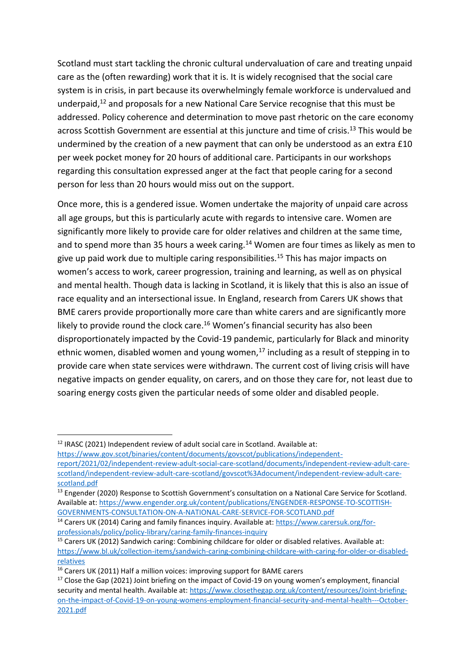Scotland must start tackling the chronic cultural undervaluation of care and treating unpaid care as the (often rewarding) work that it is. It is widely recognised that the social care system is in crisis, in part because its overwhelmingly female workforce is undervalued and underpaid, <sup>12</sup> and proposals for a new National Care Service recognise that this must be addressed. Policy coherence and determination to move past rhetoric on the care economy across Scottish Government are essential at this juncture and time of crisis.<sup>13</sup> This would be undermined by the creation of a new payment that can only be understood as an extra £10 per week pocket money for 20 hours of additional care. Participants in our workshops regarding this consultation expressed anger at the fact that people caring for a second person for less than 20 hours would miss out on the support.

Once more, this is a gendered issue. Women undertake the majority of unpaid care across all age groups, but this is particularly acute with regards to intensive care. Women are significantly more likely to provide care for older relatives and children at the same time, and to spend more than 35 hours a week caring.<sup>14</sup> Women are four times as likely as men to give up paid work due to multiple caring responsibilities.<sup>15</sup> This has major impacts on women's access to work, career progression, training and learning, as well as on physical and mental health. Though data is lacking in Scotland, it is likely that this is also an issue of race equality and an intersectional issue. In England, research from Carers UK shows that BME carers provide proportionally more care than white carers and are significantly more likely to provide round the clock care.<sup>16</sup> Women's financial security has also been disproportionately impacted by the Covid-19 pandemic, particularly for Black and minority ethnic women, disabled women and young women, $^{17}$  including as a result of stepping in to provide care when state services were withdrawn. The current cost of living crisis will have negative impacts on gender equality, on carers, and on those they care for, not least due to soaring energy costs given the particular needs of some older and disabled people.

 $12$  IRASC (2021) Independent review of adult social care in Scotland. Available at:

[https://www.gov.scot/binaries/content/documents/govscot/publications/independent-](https://www.gov.scot/binaries/content/documents/govscot/publications/independent-report/2021/02/independent-review-adult-social-care-scotland/documents/independent-review-adult-care-scotland/independent-review-adult-care-scotland/govscot%3Adocument/independent-review-adult-care-scotland.pdf)

[report/2021/02/independent-review-adult-social-care-scotland/documents/independent-review-adult-care](https://www.gov.scot/binaries/content/documents/govscot/publications/independent-report/2021/02/independent-review-adult-social-care-scotland/documents/independent-review-adult-care-scotland/independent-review-adult-care-scotland/govscot%3Adocument/independent-review-adult-care-scotland.pdf)[scotland/independent-review-adult-care-scotland/govscot%3Adocument/independent-review-adult-care](https://www.gov.scot/binaries/content/documents/govscot/publications/independent-report/2021/02/independent-review-adult-social-care-scotland/documents/independent-review-adult-care-scotland/independent-review-adult-care-scotland/govscot%3Adocument/independent-review-adult-care-scotland.pdf)[scotland.pdf](https://www.gov.scot/binaries/content/documents/govscot/publications/independent-report/2021/02/independent-review-adult-social-care-scotland/documents/independent-review-adult-care-scotland/independent-review-adult-care-scotland/govscot%3Adocument/independent-review-adult-care-scotland.pdf)

<sup>&</sup>lt;sup>13</sup> Engender (2020) Response to Scottish Government's consultation on a National Care Service for Scotland. Available at[: https://www.engender.org.uk/content/publications/ENGENDER-RESPONSE-TO-SCOTTISH-](https://www.engender.org.uk/content/publications/ENGENDER-RESPONSE-TO-SCOTTISH-GOVERNMENTS-CONSULTATION-ON-A-NATIONAL-CARE-SERVICE-FOR-SCOTLAND.pdf)[GOVERNMENTS-CONSULTATION-ON-A-NATIONAL-CARE-SERVICE-FOR-SCOTLAND.pdf](https://www.engender.org.uk/content/publications/ENGENDER-RESPONSE-TO-SCOTTISH-GOVERNMENTS-CONSULTATION-ON-A-NATIONAL-CARE-SERVICE-FOR-SCOTLAND.pdf)

<sup>&</sup>lt;sup>14</sup> Carers UK (2014) Caring and family finances inquiry. Available at: [https://www.carersuk.org/for](https://www.carersuk.org/for-professionals/policy/policy-library/caring-family-finances-inquiry)[professionals/policy/policy-library/caring-family-finances-inquiry](https://www.carersuk.org/for-professionals/policy/policy-library/caring-family-finances-inquiry)

<sup>15</sup> Carers UK (2012) Sandwich caring: Combining childcare for older or disabled relatives. Available at: [https://www.bl.uk/collection-items/sandwich-caring-combining-childcare-with-caring-for-older-or-disabled](https://www.bl.uk/collection-items/sandwich-caring-combining-childcare-with-caring-for-older-or-disabled-relatives)[relatives](https://www.bl.uk/collection-items/sandwich-caring-combining-childcare-with-caring-for-older-or-disabled-relatives)

<sup>&</sup>lt;sup>16</sup> Carers UK (2011) Half a million voices: improving support for BAME carers

<sup>&</sup>lt;sup>17</sup> Close the Gap (2021) Joint briefing on the impact of Covid-19 on young women's employment, financial security and mental health. Available at: [https://www.closethegap.org.uk/content/resources/Joint-briefing](https://www.closethegap.org.uk/content/resources/Joint-briefing-on-the-impact-of-Covid-19-on-young-womens-employment-financial-security-and-mental-health---October-2021.pdf)[on-the-impact-of-Covid-19-on-young-womens-employment-financial-security-and-mental-health---October-](https://www.closethegap.org.uk/content/resources/Joint-briefing-on-the-impact-of-Covid-19-on-young-womens-employment-financial-security-and-mental-health---October-2021.pdf)[2021.pdf](https://www.closethegap.org.uk/content/resources/Joint-briefing-on-the-impact-of-Covid-19-on-young-womens-employment-financial-security-and-mental-health---October-2021.pdf)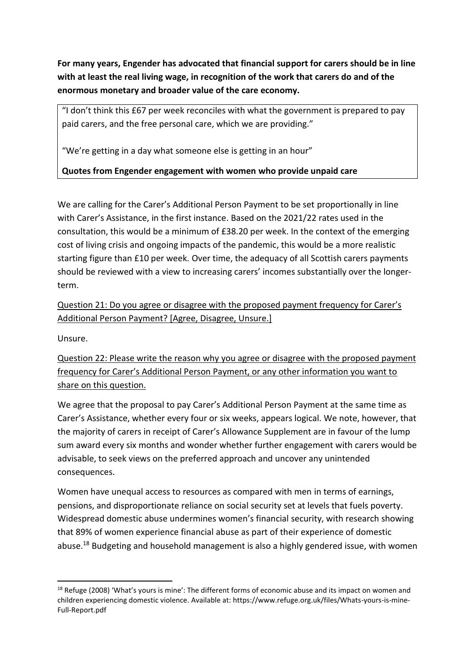**For many years, Engender has advocated that financial support for carers should be in line with at least the real living wage, in recognition of the work that carers do and of the enormous monetary and broader value of the care economy.**

"I don't think this £67 per week reconciles with what the government is prepared to pay paid carers, and the free personal care, which we are providing."

"We're getting in a day what someone else is getting in an hour"

**Quotes from Engender engagement with women who provide unpaid care**

We are calling for the Carer's Additional Person Payment to be set proportionally in line with Carer's Assistance, in the first instance. Based on the 2021/22 rates used in the consultation, this would be a minimum of £38.20 per week. In the context of the emerging cost of living crisis and ongoing impacts of the pandemic, this would be a more realistic starting figure than £10 per week. Over time, the adequacy of all Scottish carers payments should be reviewed with a view to increasing carers' incomes substantially over the longerterm.

Question 21: Do you agree or disagree with the proposed payment frequency for Carer's Additional Person Payment? [Agree, Disagree, Unsure.]

Unsure.

Question 22: Please write the reason why you agree or disagree with the proposed payment frequency for Carer's Additional Person Payment, or any other information you want to share on this question.

We agree that the proposal to pay Carer's Additional Person Payment at the same time as Carer's Assistance, whether every four or six weeks, appears logical. We note, however, that the majority of carers in receipt of Carer's Allowance Supplement are in favour of the lump sum award every six months and wonder whether further engagement with carers would be advisable, to seek views on the preferred approach and uncover any unintended consequences.

Women have unequal access to resources as compared with men in terms of earnings, pensions, and disproportionate reliance on social security set at levels that fuels poverty. Widespread domestic abuse undermines women's financial security, with research showing that 89% of women experience financial abuse as part of their experience of domestic abuse.<sup>18</sup> Budgeting and household management is also a highly gendered issue, with women

<sup>&</sup>lt;sup>18</sup> Refuge (2008) 'What's yours is mine': The different forms of economic abuse and its impact on women and children experiencing domestic violence. Available at: https://www.refuge.org.uk/files/Whats-yours-is-mine-Full-Report.pdf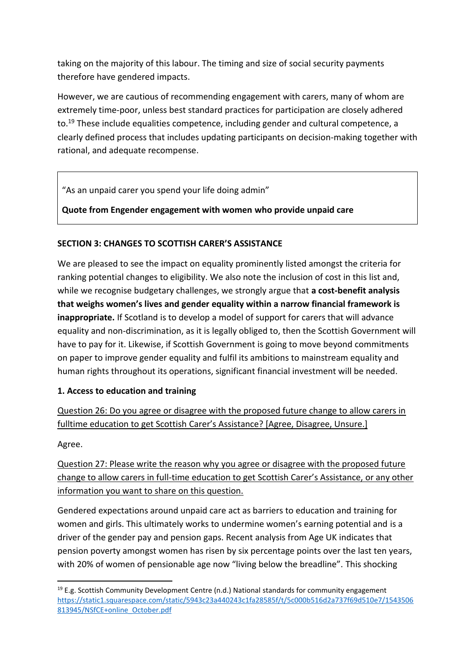taking on the majority of this labour. The timing and size of social security payments therefore have gendered impacts.

However, we are cautious of recommending engagement with carers, many of whom are extremely time-poor, unless best standard practices for participation are closely adhered to.<sup>19</sup> These include equalities competence, including gender and cultural competence, a clearly defined process that includes updating participants on decision-making together with rational, and adequate recompense.

"As an unpaid carer you spend your life doing admin"

**Quote from Engender engagement with women who provide unpaid care**

### **SECTION 3: CHANGES TO SCOTTISH CARER'S ASSISTANCE**

We are pleased to see the impact on equality prominently listed amongst the criteria for ranking potential changes to eligibility. We also note the inclusion of cost in this list and, while we recognise budgetary challenges, we strongly argue that **a cost-benefit analysis that weighs women's lives and gender equality within a narrow financial framework is inappropriate.** If Scotland is to develop a model of support for carers that will advance equality and non-discrimination, as it is legally obliged to, then the Scottish Government will have to pay for it. Likewise, if Scottish Government is going to move beyond commitments on paper to improve gender equality and fulfil its ambitions to mainstream equality and human rights throughout its operations, significant financial investment will be needed.

#### **1. Access to education and training**

Question 26: Do you agree or disagree with the proposed future change to allow carers in fulltime education to get Scottish Carer's Assistance? [Agree, Disagree, Unsure.]

Agree.

Question 27: Please write the reason why you agree or disagree with the proposed future change to allow carers in full-time education to get Scottish Carer's Assistance, or any other information you want to share on this question.

Gendered expectations around unpaid care act as barriers to education and training for women and girls. This ultimately works to undermine women's earning potential and is a driver of the gender pay and pension gaps. Recent analysis from Age UK indicates that pension poverty amongst women has risen by six percentage points over the last ten years, with 20% of women of pensionable age now "living below the breadline". This shocking

 $19$  E.g. Scottish Community Development Centre (n.d.) National standards for community engagement [https://static1.squarespace.com/static/5943c23a440243c1fa28585f/t/5c000b516d2a737f69d510e7/1543506](https://static1.squarespace.com/static/5943c23a440243c1fa28585f/t/5c000b516d2a737f69d510e7/1543506813945/NSfCE+online_October.pdf) [813945/NSfCE+online\\_October.pdf](https://static1.squarespace.com/static/5943c23a440243c1fa28585f/t/5c000b516d2a737f69d510e7/1543506813945/NSfCE+online_October.pdf)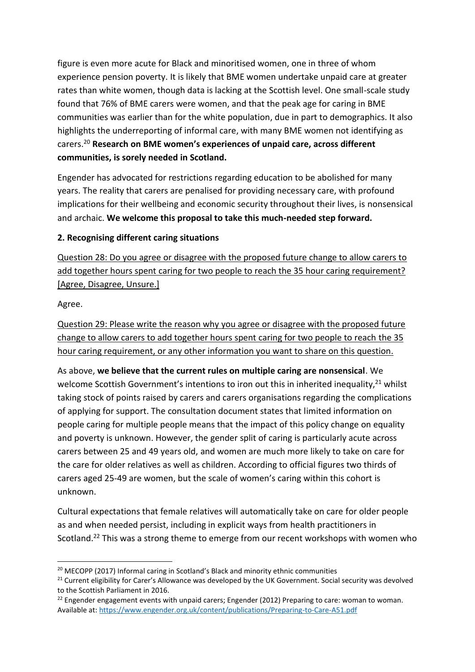figure is even more acute for Black and minoritised women, one in three of whom experience pension poverty. It is likely that BME women undertake unpaid care at greater rates than white women, though data is lacking at the Scottish level. One small-scale study found that 76% of BME carers were women, and that the peak age for caring in BME communities was earlier than for the white population, due in part to demographics. It also highlights the underreporting of informal care, with many BME women not identifying as carers.<sup>20</sup> **Research on BME women's experiences of unpaid care, across different communities, is sorely needed in Scotland.**

Engender has advocated for restrictions regarding education to be abolished for many years. The reality that carers are penalised for providing necessary care, with profound implications for their wellbeing and economic security throughout their lives, is nonsensical and archaic. **We welcome this proposal to take this much-needed step forward.** 

### **2. Recognising different caring situations**

Question 28: Do you agree or disagree with the proposed future change to allow carers to add together hours spent caring for two people to reach the 35 hour caring requirement? [Agree, Disagree, Unsure.]

Agree.

Question 29: Please write the reason why you agree or disagree with the proposed future change to allow carers to add together hours spent caring for two people to reach the 35 hour caring requirement, or any other information you want to share on this question.

As above, **we believe that the current rules on multiple caring are nonsensical**. We welcome Scottish Government's intentions to iron out this in inherited inequality,<sup>21</sup> whilst taking stock of points raised by carers and carers organisations regarding the complications of applying for support. The consultation document states that limited information on people caring for multiple people means that the impact of this policy change on equality and poverty is unknown. However, the gender split of caring is particularly acute across carers between 25 and 49 years old, and women are much more likely to take on care for the care for older relatives as well as children. According to official figures two thirds of carers aged 25-49 are women, but the scale of women's caring within this cohort is unknown.

Cultural expectations that female relatives will automatically take on care for older people as and when needed persist, including in explicit ways from health practitioners in Scotland.<sup>22</sup> This was a strong theme to emerge from our recent workshops with women who

<sup>&</sup>lt;sup>20</sup> MECOPP (2017) Informal caring in Scotland's Black and minority ethnic communities

<sup>&</sup>lt;sup>21</sup> Current eligibility for Carer's Allowance was developed by the UK Government. Social security was devolved to the Scottish Parliament in 2016.

 $22$  Engender engagement events with unpaid carers; Engender (2012) Preparing to care: woman to woman. Available at[: https://www.engender.org.uk/content/publications/Preparing-to-Care-A51.pdf](https://www.engender.org.uk/content/publications/Preparing-to-Care-A51.pdf)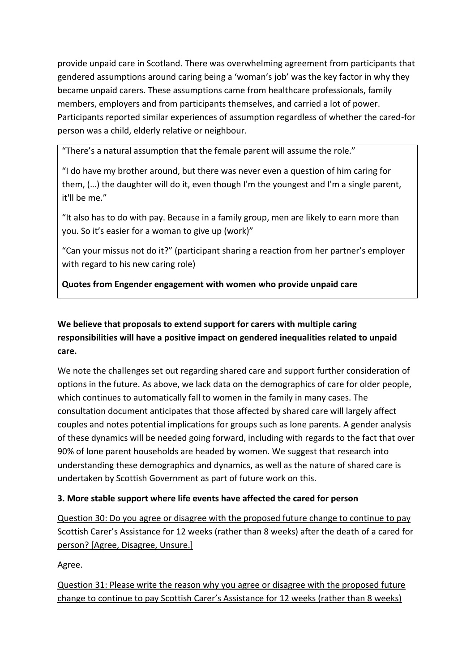provide unpaid care in Scotland. There was overwhelming agreement from participants that gendered assumptions around caring being a 'woman's job' was the key factor in why they became unpaid carers. These assumptions came from healthcare professionals, family members, employers and from participants themselves, and carried a lot of power. Participants reported similar experiences of assumption regardless of whether the cared-for person was a child, elderly relative or neighbour.

"There's a natural assumption that the female parent will assume the role."

"I do have my brother around, but there was never even a question of him caring for them, (…) the daughter will do it, even though I'm the youngest and I'm a single parent, it'll be me."

"It also has to do with pay. Because in a family group, men are likely to earn more than you. So it's easier for a woman to give up (work)"

"Can your missus not do it?" (participant sharing a reaction from her partner's employer with regard to his new caring role)

**Quotes from Engender engagement with women who provide unpaid care**

## **We believe that proposals to extend support for carers with multiple caring responsibilities will have a positive impact on gendered inequalities related to unpaid care.**

We note the challenges set out regarding shared care and support further consideration of options in the future. As above, we lack data on the demographics of care for older people, which continues to automatically fall to women in the family in many cases. The consultation document anticipates that those affected by shared care will largely affect couples and notes potential implications for groups such as lone parents. A gender analysis of these dynamics will be needed going forward, including with regards to the fact that over 90% of lone parent households are headed by women. We suggest that research into understanding these demographics and dynamics, as well as the nature of shared care is undertaken by Scottish Government as part of future work on this.

### **3. More stable support where life events have affected the cared for person**

Question 30: Do you agree or disagree with the proposed future change to continue to pay Scottish Carer's Assistance for 12 weeks (rather than 8 weeks) after the death of a cared for person? [Agree, Disagree, Unsure.]

Agree.

Question 31: Please write the reason why you agree or disagree with the proposed future change to continue to pay Scottish Carer's Assistance for 12 weeks (rather than 8 weeks)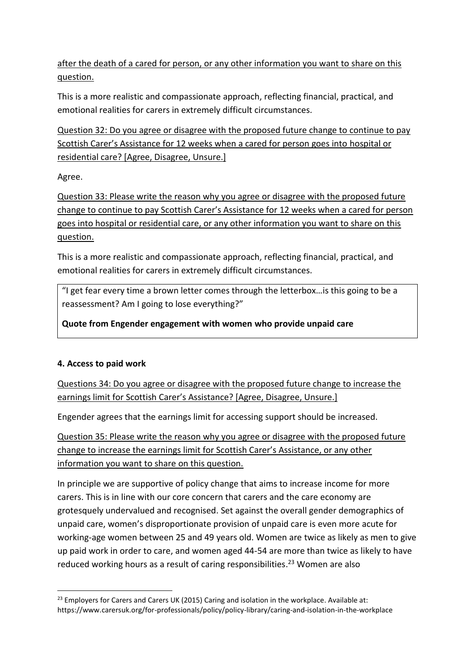after the death of a cared for person, or any other information you want to share on this question.

This is a more realistic and compassionate approach, reflecting financial, practical, and emotional realities for carers in extremely difficult circumstances.

Question 32: Do you agree or disagree with the proposed future change to continue to pay Scottish Carer's Assistance for 12 weeks when a cared for person goes into hospital or residential care? [Agree, Disagree, Unsure.]

Agree.

Question 33: Please write the reason why you agree or disagree with the proposed future change to continue to pay Scottish Carer's Assistance for 12 weeks when a cared for person goes into hospital or residential care, or any other information you want to share on this question.

This is a more realistic and compassionate approach, reflecting financial, practical, and emotional realities for carers in extremely difficult circumstances.

"I get fear every time a brown letter comes through the letterbox…is this going to be a reassessment? Am I going to lose everything?"

**Quote from Engender engagement with women who provide unpaid care**

### **4. Access to paid work**

Questions 34: Do you agree or disagree with the proposed future change to increase the earnings limit for Scottish Carer's Assistance? [Agree, Disagree, Unsure.]

Engender agrees that the earnings limit for accessing support should be increased.

Question 35: Please write the reason why you agree or disagree with the proposed future change to increase the earnings limit for Scottish Carer's Assistance, or any other information you want to share on this question.

In principle we are supportive of policy change that aims to increase income for more carers. This is in line with our core concern that carers and the care economy are grotesquely undervalued and recognised. Set against the overall gender demographics of unpaid care, women's disproportionate provision of unpaid care is even more acute for working-age women between 25 and 49 years old. Women are twice as likely as men to give up paid work in order to care, and women aged 44-54 are more than twice as likely to have reduced working hours as a result of caring responsibilities. <sup>23</sup> Women are also

 $^{23}$  Employers for Carers and Carers UK (2015) Caring and isolation in the workplace. Available at: https://www.carersuk.org/for-professionals/policy/policy-library/caring-and-isolation-in-the-workplace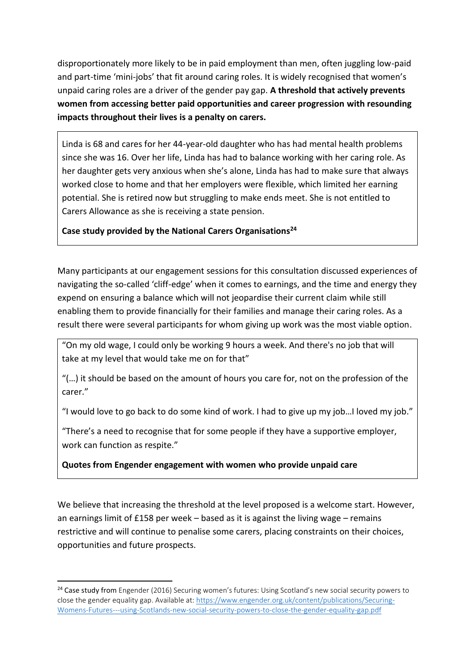disproportionately more likely to be in paid employment than men, often juggling low-paid and part-time 'mini-jobs' that fit around caring roles. It is widely recognised that women's unpaid caring roles are a driver of the gender pay gap. **A threshold that actively prevents women from accessing better paid opportunities and career progression with resounding impacts throughout their lives is a penalty on carers.** 

Linda is 68 and cares for her 44-year-old daughter who has had mental health problems since she was 16. Over her life, Linda has had to balance working with her caring role. As her daughter gets very anxious when she's alone, Linda has had to make sure that always worked close to home and that her employers were flexible, which limited her earning potential. She is retired now but struggling to make ends meet. She is not entitled to Carers Allowance as she is receiving a state pension.

### **Case study provided by the National Carers Organisations<sup>24</sup>**

Many participants at our engagement sessions for this consultation discussed experiences of navigating the so-called 'cliff-edge' when it comes to earnings, and the time and energy they expend on ensuring a balance which will not jeopardise their current claim while still enabling them to provide financially for their families and manage their caring roles. As a result there were several participants for whom giving up work was the most viable option.

"On my old wage, I could only be working 9 hours a week. And there's no job that will take at my level that would take me on for that"

"(…) it should be based on the amount of hours you care for, not on the profession of the carer."

"I would love to go back to do some kind of work. I had to give up my job…I loved my job."

"There's a need to recognise that for some people if they have a supportive employer, work can function as respite."

**Quotes from Engender engagement with women who provide unpaid care**

We believe that increasing the threshold at the level proposed is a welcome start. However, an earnings limit of  $£158$  per week – based as it is against the living wage – remains restrictive and will continue to penalise some carers, placing constraints on their choices, opportunities and future prospects.

<sup>&</sup>lt;sup>24</sup> Case study from Engender (2016) Securing women's futures: Using Scotland's new social security powers to close the gender equality gap. Available at: [https://www.engender.org.uk/content/publications/Securing-](https://www.engender.org.uk/content/publications/Securing-Womens-Futures---using-Scotlands-new-social-security-powers-to-close-the-gender-equality-gap.pdf)[Womens-Futures---using-Scotlands-new-social-security-powers-to-close-the-gender-equality-gap.pdf](https://www.engender.org.uk/content/publications/Securing-Womens-Futures---using-Scotlands-new-social-security-powers-to-close-the-gender-equality-gap.pdf)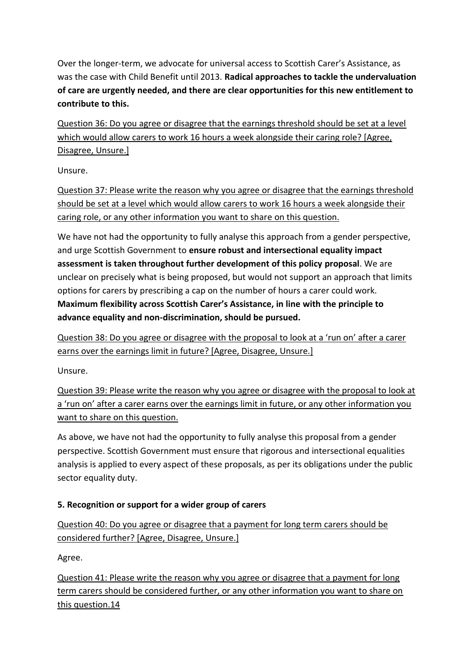Over the longer-term, we advocate for universal access to Scottish Carer's Assistance, as was the case with Child Benefit until 2013. **Radical approaches to tackle the undervaluation of care are urgently needed, and there are clear opportunities for this new entitlement to contribute to this.** 

Question 36: Do you agree or disagree that the earnings threshold should be set at a level which would allow carers to work 16 hours a week alongside their caring role? [Agree, Disagree, Unsure.]

Unsure.

Question 37: Please write the reason why you agree or disagree that the earnings threshold should be set at a level which would allow carers to work 16 hours a week alongside their caring role, or any other information you want to share on this question.

We have not had the opportunity to fully analyse this approach from a gender perspective, and urge Scottish Government to **ensure robust and intersectional equality impact assessment is taken throughout further development of this policy proposal**. We are unclear on precisely what is being proposed, but would not support an approach that limits options for carers by prescribing a cap on the number of hours a carer could work. **Maximum flexibility across Scottish Carer's Assistance, in line with the principle to advance equality and non-discrimination, should be pursued.** 

Question 38: Do you agree or disagree with the proposal to look at a 'run on' after a carer earns over the earnings limit in future? [Agree, Disagree, Unsure.]

Unsure.

Question 39: Please write the reason why you agree or disagree with the proposal to look at a 'run on' after a carer earns over the earnings limit in future, or any other information you want to share on this question.

As above, we have not had the opportunity to fully analyse this proposal from a gender perspective. Scottish Government must ensure that rigorous and intersectional equalities analysis is applied to every aspect of these proposals, as per its obligations under the public sector equality duty.

### **5. Recognition or support for a wider group of carers**

Question 40: Do you agree or disagree that a payment for long term carers should be considered further? [Agree, Disagree, Unsure.]

Agree.

Question 41: Please write the reason why you agree or disagree that a payment for long term carers should be considered further, or any other information you want to share on this question.14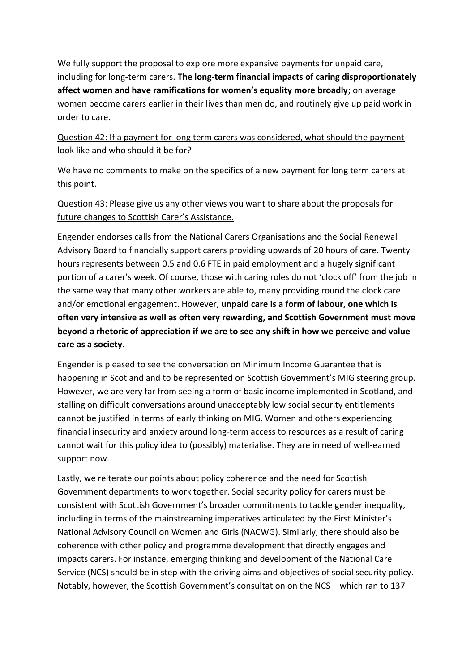We fully support the proposal to explore more expansive payments for unpaid care, including for long-term carers. **The long-term financial impacts of caring disproportionately affect women and have ramifications for women's equality more broadly**; on average women become carers earlier in their lives than men do, and routinely give up paid work in order to care.

### Question 42: If a payment for long term carers was considered, what should the payment look like and who should it be for?

We have no comments to make on the specifics of a new payment for long term carers at this point.

### Question 43: Please give us any other views you want to share about the proposals for future changes to Scottish Carer's Assistance.

Engender endorses calls from the National Carers Organisations and the Social Renewal Advisory Board to financially support carers providing upwards of 20 hours of care. Twenty hours represents between 0.5 and 0.6 FTE in paid employment and a hugely significant portion of a carer's week. Of course, those with caring roles do not 'clock off' from the job in the same way that many other workers are able to, many providing round the clock care and/or emotional engagement. However, **unpaid care is a form of labour, one which is often very intensive as well as often very rewarding, and Scottish Government must move beyond a rhetoric of appreciation if we are to see any shift in how we perceive and value care as a society.**

Engender is pleased to see the conversation on Minimum Income Guarantee that is happening in Scotland and to be represented on Scottish Government's MIG steering group. However, we are very far from seeing a form of basic income implemented in Scotland, and stalling on difficult conversations around unacceptably low social security entitlements cannot be justified in terms of early thinking on MIG. Women and others experiencing financial insecurity and anxiety around long-term access to resources as a result of caring cannot wait for this policy idea to (possibly) materialise. They are in need of well-earned support now.

Lastly, we reiterate our points about policy coherence and the need for Scottish Government departments to work together. Social security policy for carers must be consistent with Scottish Government's broader commitments to tackle gender inequality, including in terms of the mainstreaming imperatives articulated by the First Minister's National Advisory Council on Women and Girls (NACWG). Similarly, there should also be coherence with other policy and programme development that directly engages and impacts carers. For instance, emerging thinking and development of the National Care Service (NCS) should be in step with the driving aims and objectives of social security policy. Notably, however, the Scottish Government's consultation on the NCS – which ran to 137